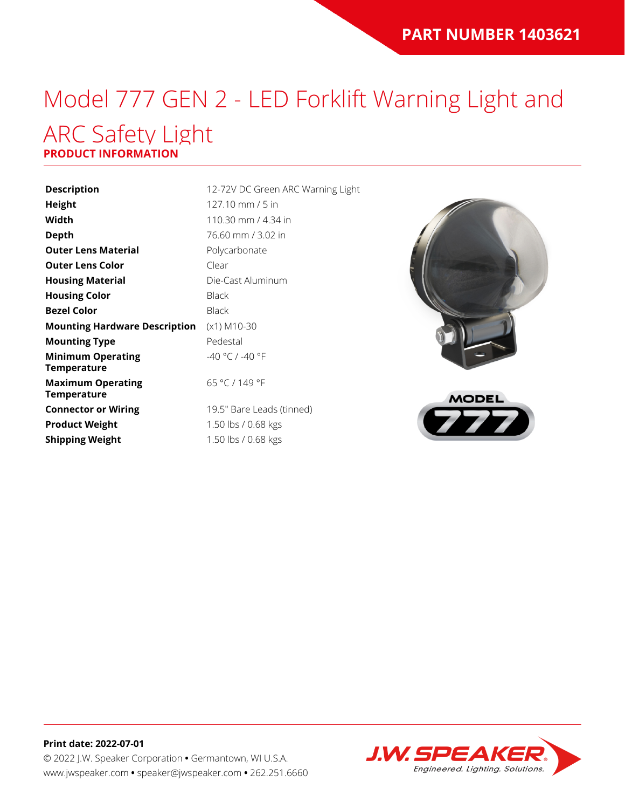# Model 777 GEN 2 - LED Forklift Warning Light and ARC Safety Light

#### **PRODUCT INFORMATION**

| <b>Description</b>                             | 12-72V D     |
|------------------------------------------------|--------------|
| Height                                         | 127.10 n     |
| Width                                          | 110.30 n     |
| Depth                                          | 76.60 mi     |
| <b>Outer Lens Material</b>                     | Polycarb     |
| <b>Outer Lens Color</b>                        | Clear        |
| <b>Housing Material</b>                        | Die-Cast     |
| <b>Housing Color</b>                           | <b>Black</b> |
| <b>Bezel Color</b>                             | <b>Black</b> |
| <b>Mounting Hardware Description</b>           | $(x1)$ M10   |
| <b>Mounting Type</b>                           | Pedestal     |
| <b>Minimum Operating</b><br><b>Temperature</b> | $-40 °C/$    |
| <b>Maximum Operating</b><br><b>Temperature</b> | 65 °C / 1    |
| <b>Connector or Wiring</b>                     | 19.5" Ba     |
| <b>Product Weight</b>                          | 1.50 lbs.    |
| <b>Shipping Weight</b>                         | $1.50$ lbs.  |
|                                                |              |

**72V DC Green ARC Warning Light Height** 127.10 mm / 5 in **Width** 110.30 mm / 4.34 in **Depth** 76.60 mm / 3.02 in **Carbonate** *<u>Cast Aluminum</u>* **M10-30**  $\degree$ C / -40  $\degree$ F °C / 149 °F <sup>"</sup> Bare Leads (tinned)







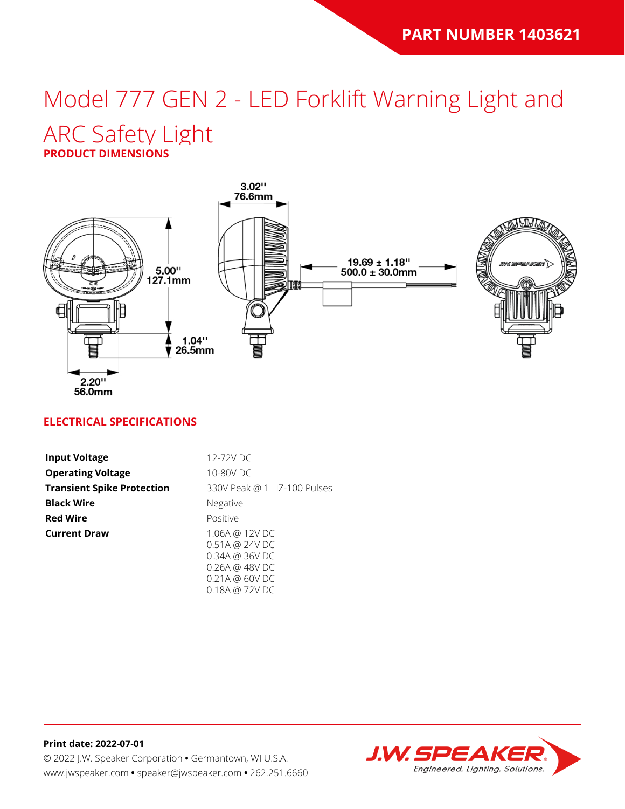# Model 777 GEN 2 - LED Forklift Warning Light and

### ARC Safety Light

**PRODUCT DIMENSIONS**



#### **ELECTRICAL SPECIFICATIONS**

| <b>Input Voltage</b>              | 12-72V DC                                                                    |
|-----------------------------------|------------------------------------------------------------------------------|
| <b>Operating Voltage</b>          | 10-80V DC                                                                    |
| <b>Transient Spike Protection</b> | 330V Peak @ 1 HZ-100 Pulses                                                  |
| <b>Black Wire</b>                 | Negative                                                                     |
| <b>Red Wire</b>                   | Positive                                                                     |
| <b>Current Draw</b>               | 1.06A @ 12V DC<br>0.51A @ 24V DC<br>0.34A @ 36V DC<br>$0.26A \ @ \ 48V \ DC$ |

0.18A @ 72V DC

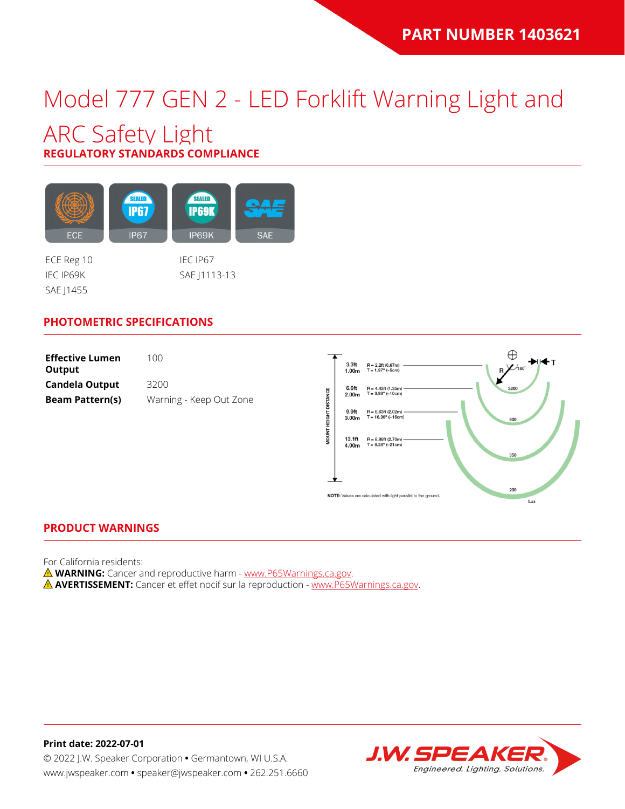## Model 777 GEN 2 - LED Forklift Warning Light and

### ARC Safety Light **REGULATORY STANDARDS COMPLIANCE**

SEALED SEALED **IP67 IP69K** ECE **IP67** IP69K **SAE** 

SAE | 1455

ECE Reg 10 IEC IP67 IEC IP69K SAE J1113-13

#### **PHOTOMETRIC SPECIFICATIONS**

| <b>Effective Lumen</b><br>Output | 100                     |
|----------------------------------|-------------------------|
| Candela Output                   | 3200                    |
| <b>Beam Pattern(s)</b>           | Warning - Keep Out Zone |



#### **PRODUCT WARNINGS**

For California residents:

**WARNING:** Cancer and reproductive harm - [www.P65Warnings.ca.gov](https://www.p65warnings.ca.gov/).

**AVERTISSEMENT:** Cancer et effet nocif sur la reproduction - [www.P65Warnings.ca.gov.](https://www.p65warnings.ca.gov/)